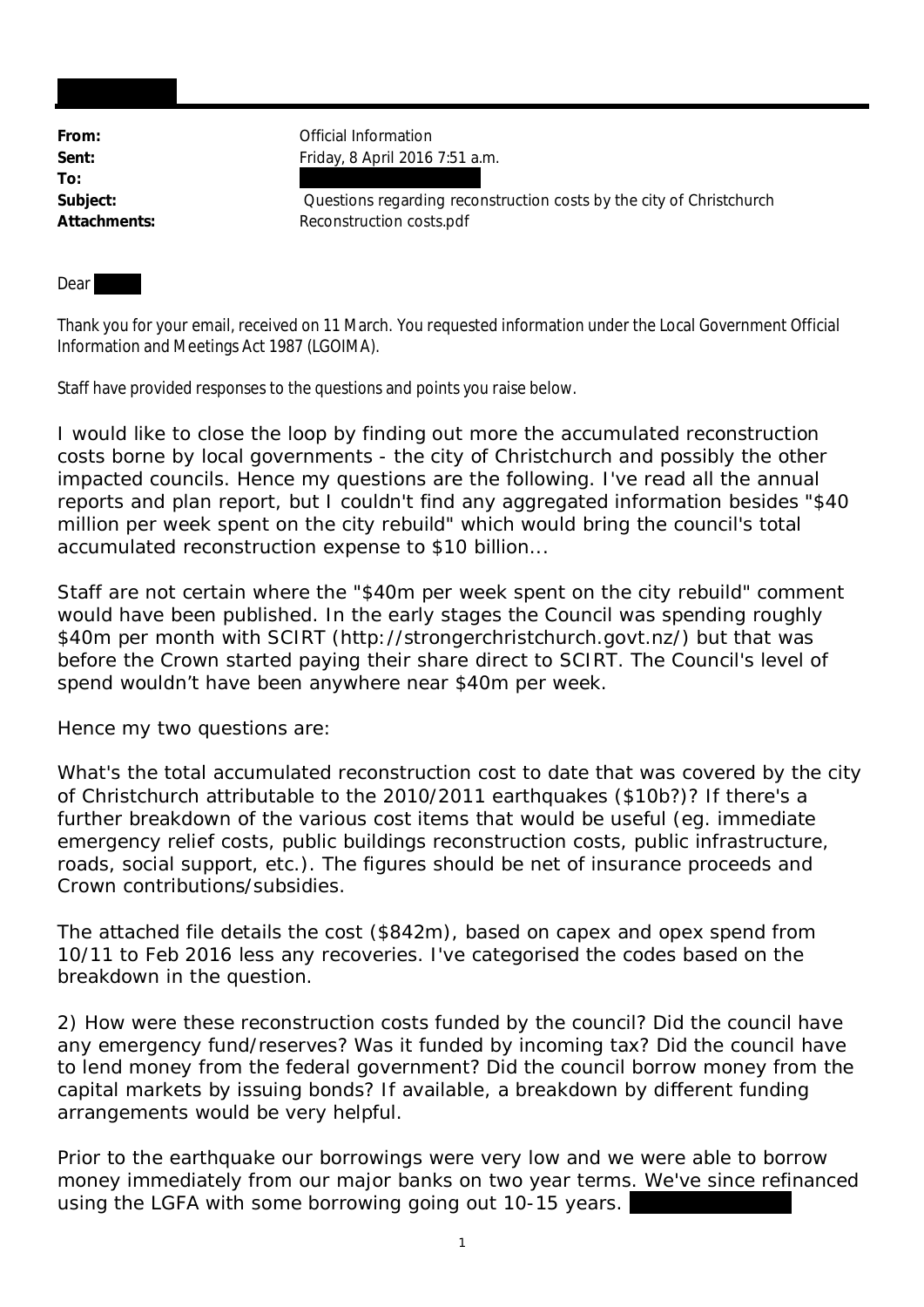**To:**

**From:** Official Information **Sent:** Friday, 8 April 2016 7:51 a.m.

**Subject:** Questions regarding reconstruction costs by the city of Christchurch Attachments: Reconstruction costs.pdf

**Dear** 

Thank you for your email, received on 11 March. You requested information under the Local Government Official Information and Meetings Act 1987 (LGOIMA).

Staff have provided responses to the questions and points you raise below.

*I would like to close the loop by finding out more the accumulated reconstruction costs borne by local governments - the city of Christchurch and possibly the other impacted councils. Hence my questions are the following. I've read all the annual reports and plan report, but I couldn't find any aggregated information besides "\$40 million per week spent on the city rebuild" which would bring the council's total accumulated reconstruction expense to \$10 billion...*

Staff are not certain where the "\$40m per week spent on the city rebuild" comment would have been published. In the early stages the Council was spending roughly \$40m per month with SCIRT (http://strongerchristchurch.govt.nz/) but that was before the Crown started paying their share direct to SCIRT. The Council's level of spend wouldn't have been anywhere near \$40m per week.

Hence my two questions are:

What's the total accumulated reconstruction cost to date that was covered by the city of Christchurch attributable to the 2010/2011 earthquakes (\$10b?)? If there's a further breakdown of the various cost items that would be useful (eg. immediate emergency relief costs, public buildings reconstruction costs, public infrastructure, roads, social support, etc.). The figures should be net of insurance proceeds and Crown contributions/subsidies.

*The attached file details the cost (\$842m), based on capex and opex spend from 10/11 to Feb 2016 less any recoveries. I've categorised the codes based on the breakdown in the question.*

2) How were these reconstruction costs funded by the council? Did the council have any emergency fund/reserves? Was it funded by incoming tax? Did the council have to lend money from the federal government? Did the council borrow money from the capital markets by issuing bonds? If available, a breakdown by different funding arrangements would be very helpful.

*Prior to the earthquake our borrowings were very low and we were able to borrow money immediately from our major banks on two year terms. We've since refinanced using the LGFA with some borrowing going out 10-15 years.*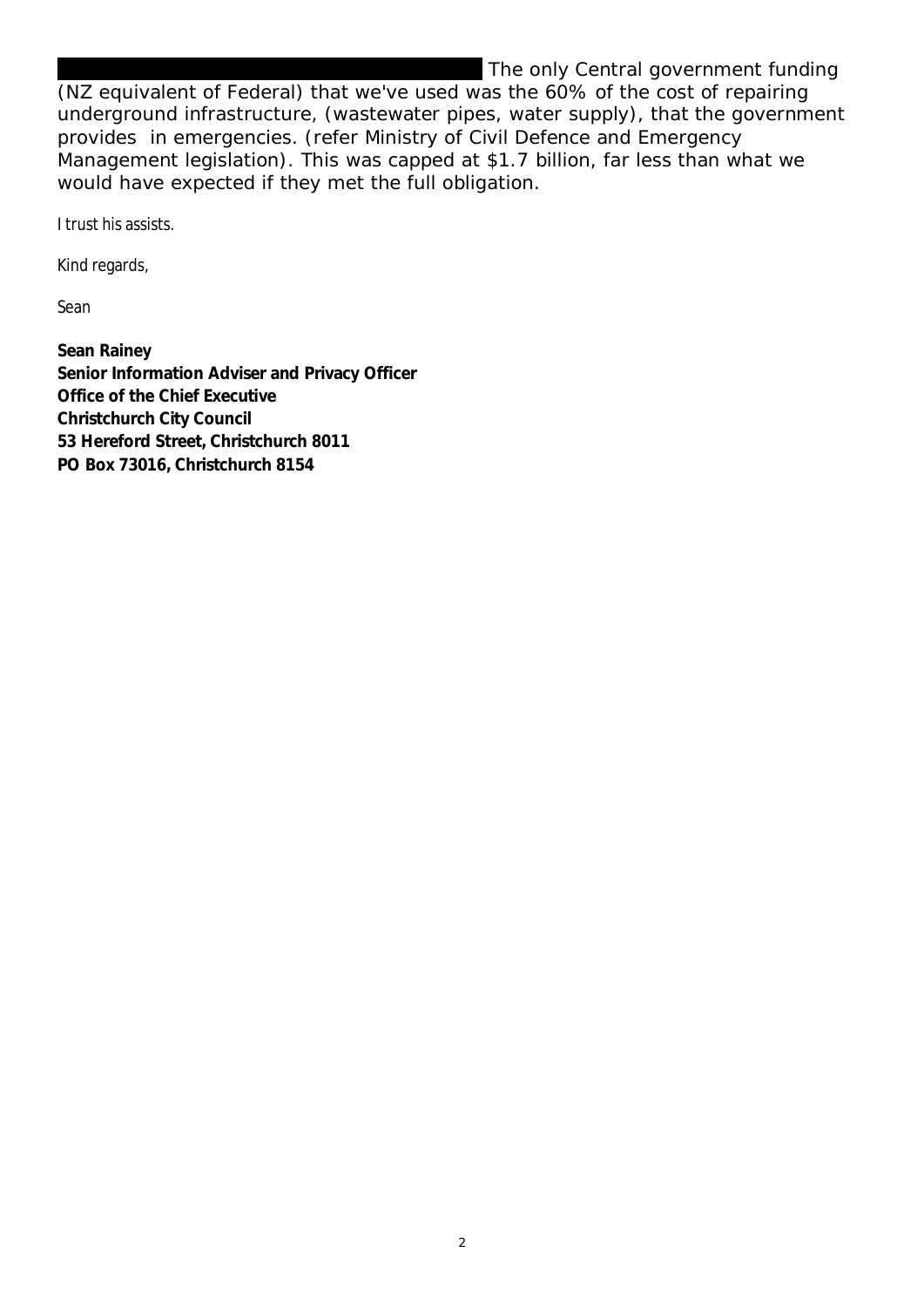## *The only Central government funding*

*(NZ equivalent of Federal) that we've used was the 60% of the cost of repairing underground infrastructure, (wastewater pipes, water supply), that the government provides in emergencies. (refer Ministry of Civil Defence and Emergency Management legislation). This was capped at \$1.7 billion, far less than what we would have expected if they met the full obligation.*

I trust his assists.

Kind regards,

Sean

**Sean Rainey Senior Information Adviser and Privacy Officer Office of the Chief Executive Christchurch City Council 53 Hereford Street, Christchurch 8011 PO Box 73016, Christchurch 8154**